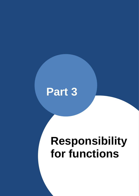

# **Responsibility for functions**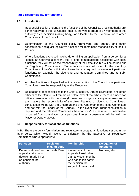## <span id="page-1-0"></span>**[Part 3 Responsibility for functions](#page-1-0)**

#### **1.0 Introduction**

Responsibilities for undertaking the functions of the Council as a local authority are either reserved to the full Council (that is, the whole group of 57 members of the authority as a decision making body), or allocated to the Executive or to other Committees of the Council.

- 1.1 Determination of the Council's policy framework and budget, and other constitutional and quasi-legislative functions will remain the responsibility of the full Council.
- 1.2 Where functions exercised involve determining an application from a person for a licence, an approval, a consent, etc., or enforcement actions associated with such functions, they will not be the responsibility of the Executive but will be carried out by Regulatory Committees. Some functions are allocated to the statutory Committees of the Council, that is, those that are required by law to fulfil particular functions, for example, the Licensing and Regulatory Committee and its Sub-Committees.
- 1.3 All other functions not specified as the responsibility of the Council or of particular Committees are the responsibility of the Executive.
- 1.4 Delegation of responsibilities to the Chief Executive, Strategic Directors, and other officers of the Council will remain as before except that where there is a need for officer consultation with members (for reasons of urgency or any other reason) on any matters the responsibility of the Area Planning or Licensing Committees, consultation will be with the Chairman and Vice-Chairman of the listed Committee and not with the Leader of the Council. In the event that urgent consultation is required and the relevant Committee Chairman or Vice-Chairman is unavailable or barred from consultation by a personal interest, consultation will be with the Mayor or Deputy Mayor.

## **2.0 Responsibility for local choice functions**

[N.B. There are policy formulation and regulatory aspects to all functions set out in the table below which would involve consideration by the Executive or Regulatory Committees where appropriate].

| <b>Function</b>                                                                                   | <b>Decision</b><br>making body | <b>Membership</b>                                                                                                                     | <b>Delegation of</b><br>functions |
|---------------------------------------------------------------------------------------------------|--------------------------------|---------------------------------------------------------------------------------------------------------------------------------------|-----------------------------------|
| Determination of an<br>appeal against any<br>decision made by or<br>on behalf of the<br>authority | <b>Appeals Panel</b>           | 4 members of the<br>Appeals Panel other<br>than any such member<br>who has taken part in<br>the decision the<br>subject of the appeal | No delegation                     |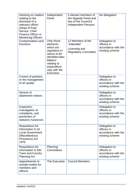| Advising on matters<br>relating to the<br>dismissal of a<br>statutory officer<br>(Head of Paid<br>Service, Chief<br>Finance Officer or<br><b>Monitoring Officer)</b> | Independent<br>Panel                                                                                                                                                    | 5 elected members of<br>the Appeals Panel and<br>two of the Council's<br><b>Independent Persons</b> | No delegation                                                          |
|----------------------------------------------------------------------------------------------------------------------------------------------------------------------|-------------------------------------------------------------------------------------------------------------------------------------------------------------------------|-----------------------------------------------------------------------------------------------------|------------------------------------------------------------------------|
| <b>Contaminated Land</b><br>functions                                                                                                                                | Only those<br>elements<br>which are<br>regulatory in<br>nature to be<br>identified later.<br><b>Matters</b><br>relating to<br>expenditure<br>stay with the<br>Executive | 12 Members of the<br>"extended"<br>Licensing and<br><b>Regulatory Committee</b>                     | Delegation to<br>officers in<br>accordance with the<br>existing scheme |
| Control of pollution<br>or the management<br>of air quality                                                                                                          |                                                                                                                                                                         |                                                                                                     | Delegation to<br>officers in<br>accordance with the<br>existing scheme |
| Service of<br>abatement notices                                                                                                                                      |                                                                                                                                                                         |                                                                                                     | Delegation to<br>officers in<br>accordance with the<br>existing scheme |
| Inspection,<br>investigation of<br>complaints, and<br>prevention of<br>statutory nuisances                                                                           |                                                                                                                                                                         |                                                                                                     | Delegation to<br>officers in<br>accordance with the<br>existing scheme |
| <b>Requisitions for</b><br>Information S.16<br><b>Local Government</b><br>(Miscellaneous<br>Provisions) Act<br>1976                                                  |                                                                                                                                                                         |                                                                                                     | Delegation to<br>officers in<br>accordance with the<br>existing scheme |
| <b>Requisitions for</b><br>Information S.330<br>Town and Country<br><b>Planning Act</b>                                                                              | Planning<br>Committees                                                                                                                                                  |                                                                                                     | Delegation to<br>officers in<br>accordance with the<br>existing scheme |
| Appointments to<br>outside bodies for<br>members and<br>officers                                                                                                     | The Executive                                                                                                                                                           | <b>Council Members</b>                                                                              |                                                                        |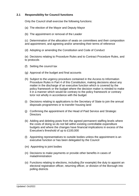## **2.1 Responsibility for Council functions**

Only the Council shall exercise the following functions:

- (a) The election of the Mayor and Deputy Mayor
- (b) The appointment or removal of the Leader

(c) Determination of the allocation of seats on committees and their composition and appointment, and agreeing and/or amending their terms of reference

(d) Adopting or amending the Constitution and Code of Conduct

(e) Decisions relating to Procedure Rules and to Contract Procedure Rules, and to protocols

- (f) Setting the council tax
- (g) Approval of the budget and final accounts
- (h) Subject to the urgency procedure contained in the Access to Information Procedure Rules in Part 4 of this Constitution, making decisions about any matter in the discharge of an executive function which is covered by the policy framework or the budget where the decision maker is minded to make it in a manner which would be contrary to the policy framework or contrary to/or not wholly in accordance with the budget
- (i) Decisions relating to applications to the Secretary of State to join the annual disposals programmes or to transfer housing land
- (j) Confirming the appointment of the Head of Paid Service and Strategic **Directors**
- (k) Adding and deleting posts from the agreed permanent staffing levels where the costs of doing so do not fall within existing controllable expenditure budgets and where the changes have financial implications in excess of the Executive's threshold of up to £100,000
- (l) Appointing representatives to outside bodies unless the appointment is an executive function or has been delegated by the Council
- (m) Appointing to joint bodies
- (n) Decisions to make payments or provide other benefits in cases of maladministration
- (o) Functions relating to elections, including (for example) the duty to appoint an electoral registration officer, returning officer, or division of the Borough into polling districts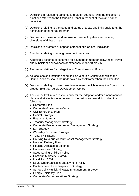- (p) Decisions in relation to parishes and parish councils (with the exception of functions referred to the Standards Panel in respect of town and parish councils)
- (q) Decisions relating to the name and status of areas and individuals (e.g. the nomination of honorary freemen)
- (r) Decisions to make, amend, revoke, or re-enact byelaws and relating to diversions of rights of way
- (s) Decisions to promote or oppose personal bills or local legislation
- (t) Functions relating to local government pensions
- (u) Adopting a scheme or schemes for payment of member allowances, travel and subsistence allowances or expenses under Article 2.5
- (v) Recommendations for delegation to Committees or officers
- (w) All local choice functions set out in Part 3 of this Constitution which the Council decides should be undertaken by itself rather than the Executive
- (x) Decisions relating to major new developments which involve the Council in a broader role than solely Development Control
- (y) The Council will retain responsibility for the adoption and/or amendment of plans and strategies incorporated in the policy framework including the following:
	- Corporate Plan
	- Corporate Governance Code
	- Civil Emergency Plan
	- Capital Strategy
	- Financial Strategy
	- Treasury Management Strategy
	- Corporate Property and Asset Management Strategy
	- ICT Strategy
	- Waverley Economic Strategy
	- Tenancy Strategy
	- Housing Revenue Account Asset Management Strategy
	- Housing Delivery Plan
	- Housing Allocations Scheme
	- Homelessness Strategy
	- Safeguarding Children Policy
	- Community Safety Strategy
	- Local Plan 2002
	- Equal Opportunities in Employment Policy
	- Contaminated Land Inspection Strategy
	- Surrey Joint Municipal Waste Management Strategy
	- Energy Efficiency Plan
	- Corporate Communications Strategy.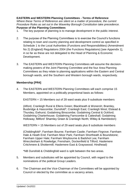# **EASTERN and WESTERN Planning Committees - Terms of Reference**

*Where these Terms of Reference are silent on a matter of procedure, the current Procedure Rules as set out in the Waverley Borough Constitution take precedence.* **Purpose of the Planning Committees**

- 1. The key purpose of planning is to manage development in the public interest.
- 2. The purpose of the Planning Committees is to exercise the Council's functions relating to town and country planning and development control as specified in Schedule 1 to the Local Authorities (Functions and Responsibilities) (Amendment No 2) (England) Regulations 2004 (the Functions Regulations) [see Appendix 1], in so far as these are not delegated to the Head of Planning & Economic Development.
- 3. The EASTERN and WESTERN Planning Committees will assume the decisionmaking powers of the Joint Planning Committee and the four Area Planning Committees as they relate to planning applications within the Eastern and Central borough wards, and the Southern and Western borough wards, respectively.

# **Membership [PR4]**

4. The EASTERN and WESTERN Planning Committees will each comprise 15 Members, appointed on a politically proportional basis as follows:

EASTERN = 15 Members out of 28 ward seats plus 9 substitute members

(Alford, Cranleigh Rural & Ellens Green; Blackheath & Wonersh; Bramley, Busbridge & Hascombe; Dunsfold\*; Cranleigh East; Cranleigh West; Elstead & Thursley; Ewhurst; Godalming Binscombe; Godalming Central & Ockford; Godalming Charterhouse; Godalming Farncombe & Catteshall; Godalming Holloway; Milford' Shamley Green & Cranleigh North; Witley & Hambledon)

WESTERN = 15 Members out of 29 ward seats plus 8 substitute members

(Chiddingfold\*; Farnham Bourne; Farnham Castle; Farnham Firgrove; Farnham Hale & Heath End; Farnham Moor Park; Farnham Shortheath & Boundstone; Farnham Upper Hale; Farnham Weybourne & Badshot Lea; Farnham Wrecclesham & Rowledge; Frensham, Dockenfield & Tilford; Haslemere Critchmere & Shottermill; Haslemere East & Grayswood; Hindhead)

\*NB Dunsfold & Chiddingfold ward is split between the two areas.

- 5. Members and substitutes will be appointed by Council, with regard to the nominations of the political Group Leaders.
- 6. The Chairman and the Vice-Chairman of the Committees will be appointed by Council or elected by the committee as a vacancy arises.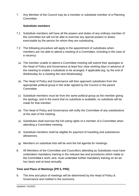7. Any Member of the Council may be a member or substitute member of a Planning Committee.

## **Substitute members**

- 7.1 Substitute members will have all the powers and duties of any ordinary member of the committee but will not be able to exercise any special powers or duties exercisable by the person for whom they are substituting.
- 7.2 The following procedure will apply to the appointment of substitutes when members are not able to attend a meeting of a Committee, including in the case of a vacancy:
	- (a) The member unable to attend a Committee meeting will submit their apologies to the Head of Policy and Governance at least four clear working days in advance of the meeting to enable a substitute to be arranged, if applicable [eg. by the end of Wednesday for a meeting the next Wednesday].
	- (b) The Head of Policy and Governance will then approach substitutes from the appropriate political group in the order agreed by the Council or the parent Committee.
	- (c) Substitute members must be from the same political group as the member giving the apology, and in the event that no substitute is available, no substitute will be made for that member.
	- (d) The Head of Policy and Governance will notify the Committee of any substitutions at the start of the meeting.
	- (e) Substitutes shall exercise the full voting rights of a member of a Committee when attending a Committee meeting.
	- (f) Substitute members shall be eligible for payment of travelling and subsistence allowances.
	- (g) Members on substitute lists will be sent the full agenda for meetings.
- 8. All Members of the Committee and Councillors attending as Substitutes must have undertaken mandatory training in the relevant law and procedures which relate to the Committee's work; and, must undertake further mandatory training on an ad hoc basis and at least annually.

## **Time and Place of Meetings [PR 5, PR6]**

9. The time and place of meetings will be determined by the Head of Policy & Governance and notified in the summons.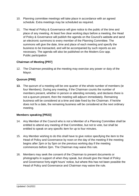- 10. Planning committee meetings will take place in accordance with an agreed schedule. Extra meetings may be scheduled as required.
- 11. The Head of Policy & Governance will give notice to the public of the time and place of any meeting. At least five clear working days before a meeting, the Head of Policy & Governance will publish the agenda on the Council's website and send an electronic summons to every member of the Planning Committee. The summons will give the date, time and place of each meeting and specify the business to be transacted, and will be accompanied by such reports as are necessary. The agenda will also be published on the Modern.Gov app. Public participation

# **Chairman of Meeting [PR7]**

12. The Chairman presiding at the meeting may exercise any power or duty of the Mayor.

# **Quorum [PR8]**

**13.** The quorum of a meeting will be one quarter of the whole number of members (ie four Members). During any meeting, if the Chairman counts the number of members present, whether in person or attending remotely, and declares there is not a quorum present, then the meeting will adjourn immediately. Remaining business will be considered at a time and date fixed by the Chairman. If he/she does not fix a date, the remaining business will be considered at the next ordinary meeting.

## **Members speaking [PR23]**

- 14. Any Member of the Council who is not a Member of a Planning Committee shall be entitled to attend any meeting of that Committee, but not to vote, but shall be entitled to speak on any specific item for up to four minutes.
- 15. Any Member wishing to do this shall have to give notice specifying the item to the Head of Policy and Governance by noon on the day of the meeting if the meeting begins after 2pm or by 5pm on the previous working day if the meeting commences before 2pm. The Chairman may waive this rule.
- 16. Members may seek the consent of the Chairman to present documents or photographs in support of when they speak, but should give the Head of Policy and Governance forty-eight hours' notice, but where this has not been possible the Head of Policy and Governance and Chairman may waive the rule.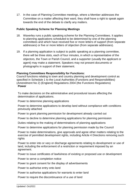17. In the case of Planning Committee meetings, where a Member addresses the Committee on a matter affecting their ward, they shall have a right to speak again towards the end of the debate to clarify any matters.

## **Public Speaking Scheme for Planning Meetings**

- 18. Waverley runs a public speaking scheme for the Planning Committees. It applies to planning applications scheduled to be determined by one of the planning committees and which have received five or more letters of support (from separate addresses) or five or more letters of objection (from separate addresses).
- 19. If a planning application is subject to public speaking at a planning committee, there will be three slots, each of four minutes, in which a representative of the objectors, the Town or Parish Council, and a supporter (usually the applicant or agent) may make a statement. Speakers may not present documents or photographs in support of their statement.

### **Planning Committees Responsibility for Functions:**

Council functions relating to town and country planning and development control as specified in Schedule 1 to the Local Authorities (Functions and Responsibilities) (Amendment No 2) (England) Regulations 2004 (the Functions Regulations) **Power** 

To make decisions on the administrative and procedural issues affecting the determination of applications.

Power to determine planning applications

Power to determine applications to develop land without compliance with conditions previously attached

Power to grant planning permission for development already carried out

Power to decline to determine planning applications for planning permission

Duties relating to the making of determinations of planning applications

Power to determine applications for planning permission made by the Council

Power to make determinations, give approvals and agree other matters relating to the exercise of permitted development rights, including Article 4 Directions removing such rights

Power to enter into or vary or discharge agreements relating to development or use of land, including the enforcement of a restriction or requirement imposed by an agreement.

Power to issue certificates of lawfulness of existing or proposed use or development

Power to serve a completion notice

Power to grant consent for the display of advertisements

Power to authorise entry onto land

Power to authorise applications for warrants to enter land

Power to require the discontinuance of a use of land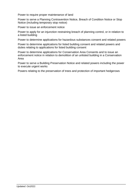Power to require proper maintenance of land

Power to serve a Planning Contravention Notice, Breach of Condition Notice or Stop Notice (including temporary stop notice)

Power to issue an enforcement notice

Power to apply for an injunction restraining breach of planning control, or in relation to a listed building

Power to determine applications for hazardous substances consent and related powers

Power to determine applications for listed building consent and related powers and duties relating to applications for listed building consent

Power to determine applications for Conservation Area Consents and to issue an enforcement notice in relation to demolition of an unlisted building in a Conservation Area

Power to serve a Building Preservation Notice and related powers including the power to execute urgent works

Powers relating to the preservation of trees and protection of important hedgerows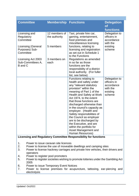| <b>Committee</b>                                          | <b>Membership</b>              | <b>Functions</b>                                                                                                                                                                                                                                                                                                                                                                                                                                     | <b>Delegation</b><br><b>of</b><br><b>functions</b>                           |
|-----------------------------------------------------------|--------------------------------|------------------------------------------------------------------------------------------------------------------------------------------------------------------------------------------------------------------------------------------------------------------------------------------------------------------------------------------------------------------------------------------------------------------------------------------------------|------------------------------------------------------------------------------|
| Licensing and<br>Regulatory<br>Committee                  | 12 members of<br>the authority | Taxi, private hire car,<br>gaming, entertainment,<br>food premises and<br>miscellaneous licensing                                                                                                                                                                                                                                                                                                                                                    | Delegation to<br>officers in<br>accordance<br>with the                       |
| <b>Licensing (General</b><br>Purposes) Sub-<br>Committee  | 5 members                      | functions, relating to<br>licensing and registration<br>as set out in Schedule 1<br>to the Functions                                                                                                                                                                                                                                                                                                                                                 | existing<br>scheme                                                           |
| Licensing Act 2003<br>Sub-Committees A,<br><b>B</b> and C | 3 members on<br>each           | Regulations as amended<br>in so far as those<br>functions are the<br>responsibility of a district<br>local authority. (For fuller<br>list, see below)                                                                                                                                                                                                                                                                                                |                                                                              |
|                                                           |                                | Functions relating to<br>health and safety under<br>any "relevant statutory<br>provision" within the<br>meaning of Part 1 of the<br>Health and Safety at Work<br>Act 1974, to the extent<br>that those functions are<br>discharged otherwise than<br>in the council's capacity as<br>employer. (Health and<br>Safety responsibilities of<br>the Council as employer<br>are to be discharged by<br>the Executive, and are<br>within the portfolio for | Delegation to<br>officers in<br>accordance<br>with the<br>existing<br>scheme |
| $\mathbf{r}$                                              | .                              | Asset Management and<br>Human Resources)<br><b>The Service</b>                                                                                                                                                                                                                                                                                                                                                                                       |                                                                              |

## **Licensing and Regulatory Committee Responsibility for functions**

- 1. Power to issue caravan site licences
- 2. Power to license the use of moveable dwellings and camping sites
- 3. Power to license hackney carriages and private hire vehicles, their drivers and operators
- 4. Power to register pool promoters
- 5. Power to register societies wishing to promote lotteries under the Gambling Act 2005
- 6. Power to issue Temporary Event Notices
- 7. Power to license premises for acupuncture, tattooing, ear-piercing and electrolysis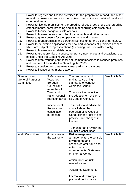- 8. Power to register and license premises for the preparation of food, and other regulatory powers to deal with the hygienic production and retail of meat and other food items
- 9. Power to license premises for the breeding of dogs, pet shops and breeding establishments, horse breeding and animal boarding establishments
- 10. Power to license dangerous wild animals
- 11. Power to license persons to collect for charitable and other causes
- 12. Power to grant consent for the operation of a loud speaker
- 13. Power to grant premises and personal licences under the Licensing Act 2003
- 14. Power to determine applications for new and variations of premises licences which are subject to representations (Licensing Sub-Committees only)
- 15. Power to license sex establishments
- 16. Power to grant premises licences, temporary use notices and occasional use notices under the Gambling Act 2005
- 17. Power to grant various permits for amusement machines in licensed premises and licensed clubs under the Gambling Act 2005.
- 18. Power to consider and determine street trading applications
- 19. Power to license scrap metal dealers.

| Standards and<br><b>General Purposes</b><br>Committee | 9 Members of<br>Waverley<br>Borough<br>Council and<br>more than 1<br>Town and<br><b>Parish Council</b><br>representatives<br>Independent<br>Persons (for<br>consultation<br>purposes) | The promotion and<br>maintenance of high<br>standards of conduct<br>within the Council<br>To advise the council on<br>the adoption or revision of<br>its Code of Conduct<br>To monitor and advise the<br>council about the<br>operation of its Code of<br>Conduct in the light of best<br>practice, and changes in<br>the law<br>To monitor and review the<br>Council's constitution | See Article 9 |
|-------------------------------------------------------|---------------------------------------------------------------------------------------------------------------------------------------------------------------------------------------|--------------------------------------------------------------------------------------------------------------------------------------------------------------------------------------------------------------------------------------------------------------------------------------------------------------------------------------------------------------------------------------|---------------|
| <b>Audit Committee</b>                                | 8 members of<br>the authority                                                                                                                                                         | Risk management<br>arrangements, the control,<br>environment and<br>associated anti-fraud and<br>anti-corruption<br>arrangements, Statement<br>on Internal Control<br>Action taken on risk-<br>related issues<br><b>Assurance Statements</b><br>Internal audit strategy,<br>plan and performance                                                                                     | See Article 8 |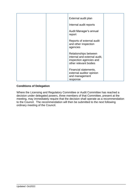| External audit plan                                                                                       |  |
|-----------------------------------------------------------------------------------------------------------|--|
|                                                                                                           |  |
| Internal audit reports                                                                                    |  |
| Audit Manager's annual<br>report                                                                          |  |
| Reports of external audit<br>and other inspection<br>agencies                                             |  |
| Relationships between<br>internal and external audit,<br>inspection agencies and<br>other relevant bodies |  |
| Financial statements,<br>external auditor opinion<br>and management<br>response                           |  |

# **Conditions of Delegation**

Where the Licensing and Regulatory Committee or Audit Committee has reached a decision under delegated powers, three members of that Committee, present at the meeting, may immediately require that the decision shall operate as a recommendation to the Council. The recommendation will then be submitted to the next following ordinary meeting of the Council.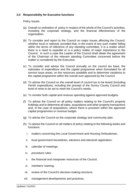## **3.0 Responsibility for Executive functions**

## Policy Issues

- (a) Overall co-ordination of policy in respect of the whole of the Council's activities, including the corporate strategy, and the financial effectiveness of the organisation.
- (b) To consider and report to the Council on major issues affecting the Council, whether local or national, provided that, in the event of any such matter falling within the terms of reference of any standing committee, it is a matter which there is a need to expedite or is a policy matter of major importance to the Council. In such a case the Leader of the Council shall obtain the agreement of the Chairman of the relevant standing Committee concerned before the matter is considered by the Executive.
- (c) To consider and advise the Council annually on the council tax base, the estimates of expenditure and the capital programme when formulated for all service issue areas, on the resources available and to determine variations to the capital programme within the overall sum approved by the Council.
- (d) To advise the Council on the overall level of council tax to be levied (including Parish expenditure), including the precept of the Surrey County Council and level of rents to be set to meet the Council's needs.
- (e) To monitor both capital and revenue spending against approved budgets.
- (f) To advise the Council on all policy matters relating to the Council's property holdings and to determine all sales, acquisitions and other property transactions and, in the case of acquisitions, where there is provision within the approved capital programmes or revenue budget.
- (g) To advise the Council on the corporate strategy and community plan.
- (h) To advise the Council on all matters of policy relating to the following duties and functions:
	- i. matters concerning the Local Government and Housing Ombudsman;
	- ii. local government boundaries, elections and electoral registration;
	- iii. calendar of meetings;
	- iv. procedure rules;
	- v. the financial and manpower resources of the Council;
	- vi. members' training;
	- vii. review of the Council's decision-making structure;
- viii. management developments and practices;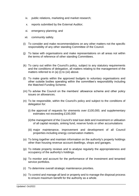- ix. public relations, marketing and market research;
- x. reports submitted by the External Auditor;
- xi. emergency planning; and
- xii. community safety.
- (i) To consider and make recommendations on any other matters not the specific responsibility of any other standing Committee of the Council.
- (j) To liaise with organisations and make representations on all areas not within the terms of reference of other standing Committees.
- (k) To carry out within the Council's policy, subject to any statutory requirements and the conditions of delegation, all matters relating to the management of the matters referred to in (a) (i) to (xii) above.
- (l) To make grants within the approved budgets to voluntary organisations and other outside bodies operating within the committee's responsibility including the Matched-Funding Scheme.
- (m) To advise the Council on the members' allowance scheme and other policy issues on allowances.
- (n) To be responsible, within the Council's policy and subject to the conditions of delegation for:
	- (i) the approval of requests for virements over £100,000, and supplementary estimates not exceeding £100,000
	- (ii)the management of the Council's total loan debt and investment or utilisation of all capital receipts, sinking fund, reserve funds or other accumulations
	- (iii) major maintenance, improvement and development of all Council properties including energy conservation matters.
- (o) To bring together and maintain information on the authority's property holdings other than housing revenue account dwellings, shops and garages.
- (p) To initiate property reviews and to analyse regularly the appropriateness and occupancy of the authority's holdings.
- (q) To monitor and account for the performance of the investment and tenanted service portfolios.
- (r) To determine overall strategic maintenance priorities.
- (s) To control and manage all land or property and to manage the disposal process to ensure maximum benefit for the authority as a whole.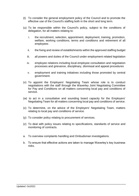- (t) To consider the general employment policy of the Council and to promote the effective use of the Council's staffing both in the short and long term.
- (u) To be responsible within the Council's policy, subject to the conditions of delegation, for all matters relating to:
	- i. the recruitment, selection, appointment, deployment, training, promotion, welfare, working conditions, terms and conditions and retirement of all employees
	- ii. the fixing and review of establishments within the approved staffing budget
	- iii. all powers and duties of the Council under employment related legislation
	- iv. employee relations including local employee consultation and negotiation processes and grievance, disciplinary, dismissal and appeal procedures
	- v. employment and training initiatives including those promoted by central government.
- (v) To appoint the Employers' Negotiating Team whose role is to conduct negotiations with the staff through the Waverley Joint Negotiating Committee for Pay and Conditions on all matters concerning local pay and conditions of service.
- (w) to act in a consultative and sounding board capacity for the Employers' Negotiating Team for all matters concerning local pay and conditions of service.
- (x) To determine, on the advice of the Employers' Negotiating Team, matters relating to local pay and conditions of service.
- (y) To consider policy relating to procurement of services.
- (z) To deal with policy issues relating to specifications, standards of service and monitoring of contracts.
- a. To overview complaints handling and Ombudsman investigations.
- b. To ensure that effective actions are taken to manage Waverley's key business risks.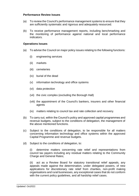### **Performance Review Issues**

- (a) To review the Council's performance management systems to ensure that they are sufficiently systematic and rigorous and adequately resourced.
- (b) To receive performance management reports, including benchmarking and the monitoring of performance against national and local performance indicators.

### **Operations Issues**

- (a) To advise the Council on major policy issues relating to the following functions:
	- (i) engineering services
	- (ii) markets
	- (iii) cemeteries
	- (iv) burial of the dead
	- (v) information technology and office systems
	- (vi) data protection
	- (vii) the civic complex (excluding the Borough Hall)
	- (viii) the appointment of the Council's bankers, insurers and other financial agents
	- (ix) matters relating to council tax and rate collection and recovery.
- (b) To carry out, within the Council's policy and approved capital programmes and revenue budgets, subject to the conditions of delegation, the management of the above mentioned functions.
- (c) Subject to the conditions of delegation, to be responsible for all matters concerning information technology and office systems within the approved Capital Programme and revenue budgets.
- (d) Subject to the conditions of delegation, to:

(i) determine matters concerning rate relief and representations from council tax payers including any residual matters relating to the Community Charge and General Rates;

(ii) act as a Review Board for statutory transitional relief appeals, any appeals made against the determination, under delegated powers, of new applications for discretionary rate relief from charities, non-profit making organisations and rural businesses, any exceptional cases that do not conform with the current policy guidelines, and all hardship relief cases.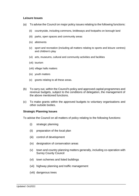#### **Leisure Issues**

- (a) To advise the Council on major policy issues relating to the following functions:
	- (ii) countryside, including commons, bridleways and footpaths on borough land
	- (iii) parks, open spaces and community areas
	- (iv) allotments
	- (v) sport and recreation (including all matters relating to sports and leisure centres) and children's play
	- (vi) arts, museums, cultural and community activities and facilities
	- (vii) tourism
	- (viii) village halls matters
	- (ix) youth matters
	- (x) grants relating to all these areas.
- (b) To carry out, within the Council's policy and approved capital programmes and revenue budgets, subject to the conditions of delegation, the management of the above mentioned functions.
- (c) To make grants within the approved budgets to voluntary organisations and other outside bodies.

### **Strategic Planning Issues**

To advise the Council on all matters of policy relating to the following functions:

- (i) strategic planning
- (ii) preparation of the local plan
- (iii) control of development
- (iv) designation of conservation areas
- (v) town and country planning matters generally, including co-operation with Surrey County Council
- (vi) town schemes and listed buildings
- (vii) highway planning and traffic management
- (viii) dangerous trees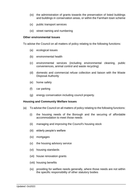- (ix) the administration of grants towards the preservation of listed buildings and buildings in conservation areas, or within the Farnham town scheme
- (x) public transport services
- (xi) street naming and numbering

#### **Other environmental Issues**

To advise the Council on all matters of policy relating to the following functions:

- (a) ecological issues
- (b) environmental health
- (c) environmental services (including environmental cleaning, public conveniences, animal control and waste recycling)
- (d) domestic and commercial refuse collection and liaison with the Waste Disposal Authority
- (e) home safety
- (f) car parking
- (g) energy conservation including council property.

### **Housing and Community Welfare Issues**

- (a) To advise the Council on all matters of policy relating to the following functions:
	- (i) the housing needs of the Borough and the securing of affordable accommodation to meet those needs
	- (ii) managing and improving the Council's housing stock
	- (iii) elderly people's welfare
	- (iv) mortgages
	- (v) the housing advisory service
	- (vi) housing standards
	- (vii) house renovation grants
	- (viii) housing benefits
	- (ix) providing for welfare needs generally, where those needs are not within the specific responsibility of other statutory bodies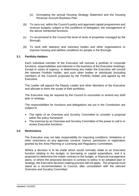- (x) formulating the annual Housing Strategy Statement and the Housing Revenue Account Business Plan.
- (b) To carry out, within the Council's policy and approved capital programmes and revenue budgets, subject to the conditions of delegation, the management of the above mentioned functions.
- (c) To recommend to the Council the level of rents of properties managed by the Borough.
- (d) To work with statutory and voluntary bodies and other organisations to improve housing and welfare conditions for people in the Borough.

## **3.1 Portfolio Holders**

Each individual member of the Executive will oversee a portfolio of corporate functions, responsibilities and interests in the business of the Executive meetings. Except in cases of urgency, in determining any matter the Executive will consult the relevant Portfolio Holder, and such other bodies or individuals (including members of the Council) proposed by the Portfolio Holder and agreed by the Executive.

The Leader will appoint the Deputy Leader and other Members of the Executive and allocate to them the scope of their portfolios.

The Executive may be required by the Council to reconsider or amend any draft plan or strategy.

The responsibilities for functions and delegations set out in the Constitution are subject to

- The rights of an Overview and Scrutiny Committee to consider a proposal within the policy framework
- The exercise by an Overview and Scrutiny Committee of the power to call in or review Executive functions

### **3.2 Restrictions**

The Executive may not take responsibility for imposing conditions, limitations or other restrictions on any approval, consent, licence, permission or registration granted by the Area Planning or Licensing and Regulatory Committees.

Where a decision is to be made which would normally relate to an Executive function relating to the budget, or borrowing or capital expenditure, and it is proposed to determine the matter contrary to the budget, or financial management plans, or where the proposed decision is contrary to policy in an adopted plan or strategy, the Executive decision-making process will not apply. The proposal must stand as a recommendation to Council, after consultation with the relevant Overview and Scrutiny Committee.